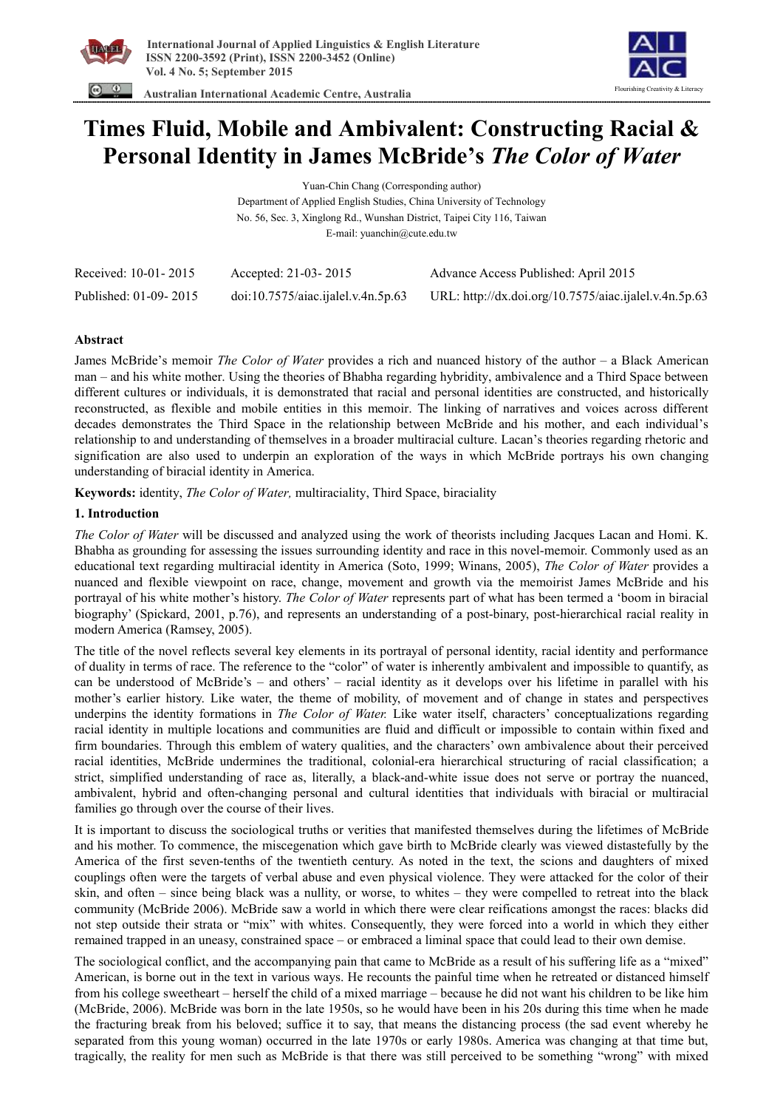



 **Australian International Academic Centre, Australia** 

# **Times Fluid, Mobile and Ambivalent: Constructing Racial & Personal Identity in James McBride's** *The Color of Water*

Yuan-Chin Chang (Corresponding author) Department of Applied English Studies, China University of Technology No. 56, Sec. 3, Xinglong Rd., Wunshan District, Taipei City 116, Taiwan

E-mail: yuanchin@cute.edu.tw

| Received: 10-01-2015  | Accepted: 21-03-2015               | Advance Access Published: April 2015                  |
|-----------------------|------------------------------------|-------------------------------------------------------|
| Published: 01-09-2015 | doi:10.7575/aiac.ijalel.v.4n.5p.63 | URL: http://dx.doi.org/10.7575/aiac.ijalel.v.4n.5p.63 |

## **Abstract**

James McBride's memoir *The Color of Water* provides a rich and nuanced history of the author – a Black American man – and his white mother. Using the theories of Bhabha regarding hybridity, ambivalence and a Third Space between different cultures or individuals, it is demonstrated that racial and personal identities are constructed, and historically reconstructed, as flexible and mobile entities in this memoir. The linking of narratives and voices across different decades demonstrates the Third Space in the relationship between McBride and his mother, and each individual's relationship to and understanding of themselves in a broader multiracial culture. Lacan's theories regarding rhetoric and signification are also used to underpin an exploration of the ways in which McBride portrays his own changing understanding of biracial identity in America.

**Keywords:** identity, *The Color of Water,* multiraciality, Third Space, biraciality

# **1. Introduction**

*The Color of Water* will be discussed and analyzed using the work of theorists including Jacques Lacan and Homi. K. Bhabha as grounding for assessing the issues surrounding identity and race in this novel-memoir. Commonly used as an educational text regarding multiracial identity in America (Soto, 1999; Winans, 2005), *The Color of Water* provides a nuanced and flexible viewpoint on race, change, movement and growth via the memoirist James McBride and his portrayal of his white mother's history. *The Color of Water* represents part of what has been termed a 'boom in biracial biography' (Spickard, 2001, p.76), and represents an understanding of a post-binary, post-hierarchical racial reality in modern America (Ramsey, 2005).

The title of the novel reflects several key elements in its portrayal of personal identity, racial identity and performance of duality in terms of race. The reference to the "color" of water is inherently ambivalent and impossible to quantify, as can be understood of McBride's – and others' – racial identity as it develops over his lifetime in parallel with his mother's earlier history. Like water, the theme of mobility, of movement and of change in states and perspectives underpins the identity formations in *The Color of Water.* Like water itself, characters' conceptualizations regarding racial identity in multiple locations and communities are fluid and difficult or impossible to contain within fixed and firm boundaries. Through this emblem of watery qualities, and the characters' own ambivalence about their perceived racial identities, McBride undermines the traditional, colonial-era hierarchical structuring of racial classification; a strict, simplified understanding of race as, literally, a black-and-white issue does not serve or portray the nuanced, ambivalent, hybrid and often-changing personal and cultural identities that individuals with biracial or multiracial families go through over the course of their lives.

It is important to discuss the sociological truths or verities that manifested themselves during the lifetimes of McBride and his mother. To commence, the miscegenation which gave birth to McBride clearly was viewed distastefully by the America of the first seven-tenths of the twentieth century. As noted in the text, the scions and daughters of mixed couplings often were the targets of verbal abuse and even physical violence. They were attacked for the color of their skin, and often – since being black was a nullity, or worse, to whites – they were compelled to retreat into the black community (McBride 2006). McBride saw a world in which there were clear reifications amongst the races: blacks did not step outside their strata or "mix" with whites. Consequently, they were forced into a world in which they either remained trapped in an uneasy, constrained space – or embraced a liminal space that could lead to their own demise.

The sociological conflict, and the accompanying pain that came to McBride as a result of his suffering life as a "mixed" American, is borne out in the text in various ways. He recounts the painful time when he retreated or distanced himself from his college sweetheart – herself the child of a mixed marriage – because he did not want his children to be like him (McBride, 2006). McBride was born in the late 1950s, so he would have been in his 20s during this time when he made the fracturing break from his beloved; suffice it to say, that means the distancing process (the sad event whereby he separated from this young woman) occurred in the late 1970s or early 1980s. America was changing at that time but, tragically, the reality for men such as McBride is that there was still perceived to be something "wrong" with mixed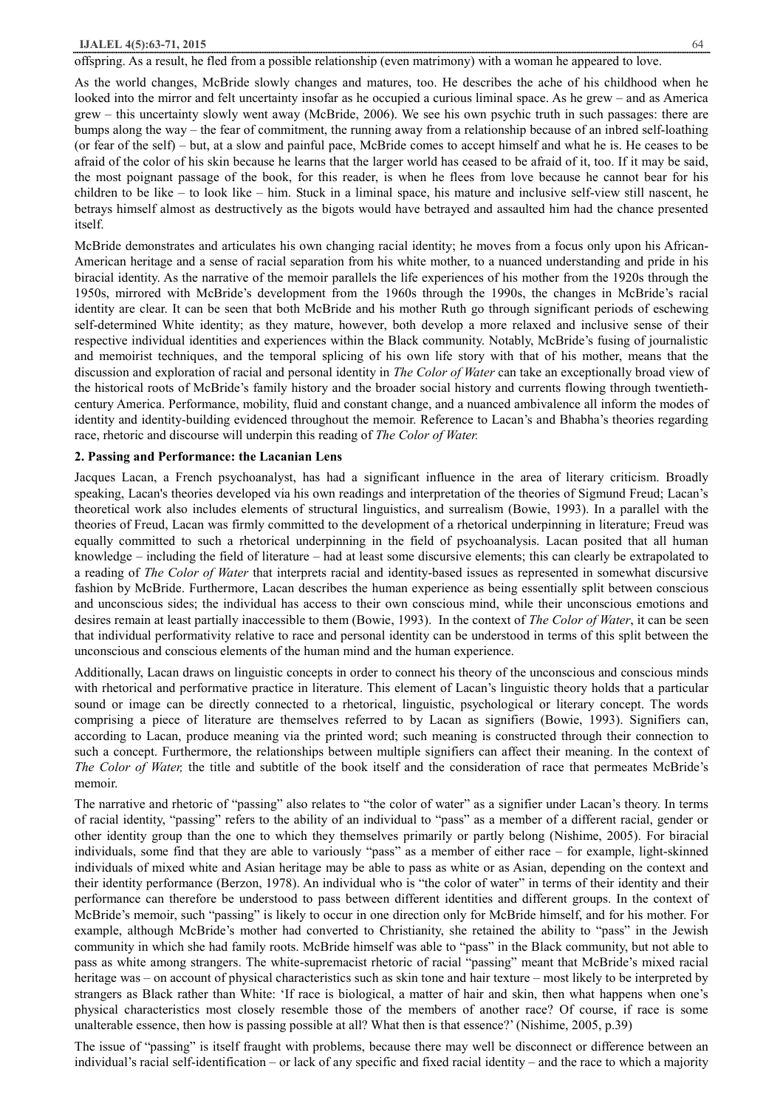#### **IJALEL 4(5):63-71, 2015** 64

offspring. As a result, he fled from a possible relationship (even matrimony) with a woman he appeared to love.

As the world changes, McBride slowly changes and matures, too. He describes the ache of his childhood when he looked into the mirror and felt uncertainty insofar as he occupied a curious liminal space. As he grew – and as America grew – this uncertainty slowly went away (McBride, 2006). We see his own psychic truth in such passages: there are bumps along the way – the fear of commitment, the running away from a relationship because of an inbred self-loathing (or fear of the self) – but, at a slow and painful pace, McBride comes to accept himself and what he is. He ceases to be afraid of the color of his skin because he learns that the larger world has ceased to be afraid of it, too. If it may be said, the most poignant passage of the book, for this reader, is when he flees from love because he cannot bear for his children to be like – to look like – him. Stuck in a liminal space, his mature and inclusive self-view still nascent, he betrays himself almost as destructively as the bigots would have betrayed and assaulted him had the chance presented itself.

McBride demonstrates and articulates his own changing racial identity; he moves from a focus only upon his African-American heritage and a sense of racial separation from his white mother, to a nuanced understanding and pride in his biracial identity. As the narrative of the memoir parallels the life experiences of his mother from the 1920s through the 1950s, mirrored with McBride's development from the 1960s through the 1990s, the changes in McBride's racial identity are clear. It can be seen that both McBride and his mother Ruth go through significant periods of eschewing self-determined White identity; as they mature, however, both develop a more relaxed and inclusive sense of their respective individual identities and experiences within the Black community. Notably, McBride's fusing of journalistic and memoirist techniques, and the temporal splicing of his own life story with that of his mother, means that the discussion and exploration of racial and personal identity in *The Color of Water* can take an exceptionally broad view of the historical roots of McBride's family history and the broader social history and currents flowing through twentiethcentury America. Performance, mobility, fluid and constant change, and a nuanced ambivalence all inform the modes of identity and identity-building evidenced throughout the memoir. Reference to Lacan's and Bhabha's theories regarding race, rhetoric and discourse will underpin this reading of *The Color of Water.* 

#### **2. Passing and Performance: the Lacanian Lens**

Jacques Lacan, a French psychoanalyst, has had a significant influence in the area of literary criticism. Broadly speaking, Lacan's theories developed via his own readings and interpretation of the theories of Sigmund Freud; Lacan's theoretical work also includes elements of structural linguistics, and surrealism (Bowie, 1993). In a parallel with the theories of Freud, Lacan was firmly committed to the development of a rhetorical underpinning in literature; Freud was equally committed to such a rhetorical underpinning in the field of psychoanalysis. Lacan posited that all human knowledge – including the field of literature – had at least some discursive elements; this can clearly be extrapolated to a reading of *The Color of Water* that interprets racial and identity-based issues as represented in somewhat discursive fashion by McBride. Furthermore, Lacan describes the human experience as being essentially split between conscious and unconscious sides; the individual has access to their own conscious mind, while their unconscious emotions and desires remain at least partially inaccessible to them (Bowie, 1993). In the context of *The Color of Water*, it can be seen that individual performativity relative to race and personal identity can be understood in terms of this split between the unconscious and conscious elements of the human mind and the human experience.

Additionally, Lacan draws on linguistic concepts in order to connect his theory of the unconscious and conscious minds with rhetorical and performative practice in literature. This element of Lacan's linguistic theory holds that a particular sound or image can be directly connected to a rhetorical, linguistic, psychological or literary concept. The words comprising a piece of literature are themselves referred to by Lacan as signifiers (Bowie, 1993). Signifiers can, according to Lacan, produce meaning via the printed word; such meaning is constructed through their connection to such a concept. Furthermore, the relationships between multiple signifiers can affect their meaning. In the context of *The Color of Water,* the title and subtitle of the book itself and the consideration of race that permeates McBride's memoir.

The narrative and rhetoric of "passing" also relates to "the color of water" as a signifier under Lacan's theory. In terms of racial identity, "passing" refers to the ability of an individual to "pass" as a member of a different racial, gender or other identity group than the one to which they themselves primarily or partly belong (Nishime, 2005). For biracial individuals, some find that they are able to variously "pass" as a member of either race – for example, light-skinned individuals of mixed white and Asian heritage may be able to pass as white or as Asian, depending on the context and their identity performance (Berzon, 1978). An individual who is "the color of water" in terms of their identity and their performance can therefore be understood to pass between different identities and different groups. In the context of McBride's memoir, such "passing" is likely to occur in one direction only for McBride himself, and for his mother. For example, although McBride's mother had converted to Christianity, she retained the ability to "pass" in the Jewish community in which she had family roots. McBride himself was able to "pass" in the Black community, but not able to pass as white among strangers. The white-supremacist rhetoric of racial "passing" meant that McBride's mixed racial heritage was – on account of physical characteristics such as skin tone and hair texture – most likely to be interpreted by strangers as Black rather than White: 'If race is biological, a matter of hair and skin, then what happens when one's physical characteristics most closely resemble those of the members of another race? Of course, if race is some unalterable essence, then how is passing possible at all? What then is that essence?' (Nishime, 2005, p.39)

The issue of "passing" is itself fraught with problems, because there may well be disconnect or difference between an individual's racial self-identification – or lack of any specific and fixed racial identity – and the race to which a majority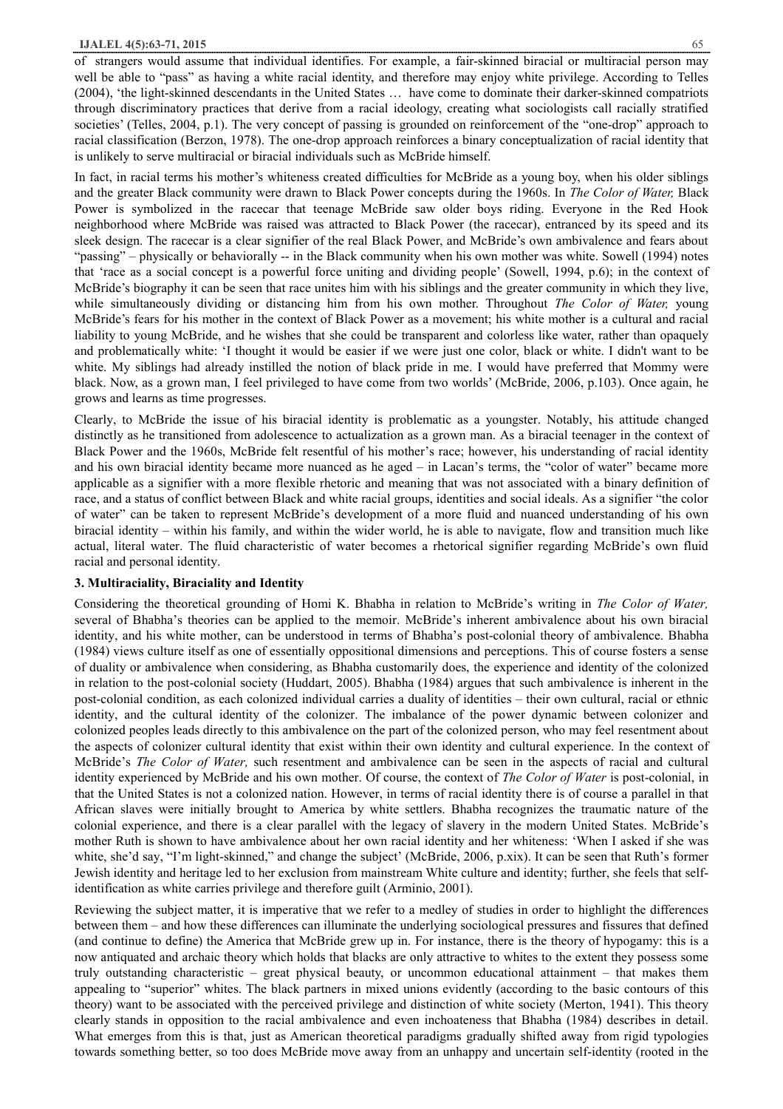#### **IJALEL 4(5):63-71, 2015** 65

of strangers would assume that individual identifies. For example, a fair-skinned biracial or multiracial person may well be able to "pass" as having a white racial identity, and therefore may enjoy white privilege. According to Telles (2004), 'the light-skinned descendants in the United States … have come to dominate their darker-skinned compatriots through discriminatory practices that derive from a racial ideology, creating what sociologists call racially stratified societies' (Telles, 2004, p.1). The very concept of passing is grounded on reinforcement of the "one-drop" approach to racial classification (Berzon, 1978). The one-drop approach reinforces a binary conceptualization of racial identity that is unlikely to serve multiracial or biracial individuals such as McBride himself.

In fact, in racial terms his mother's whiteness created difficulties for McBride as a young boy, when his older siblings and the greater Black community were drawn to Black Power concepts during the 1960s. In *The Color of Water,* Black Power is symbolized in the racecar that teenage McBride saw older boys riding. Everyone in the Red Hook neighborhood where McBride was raised was attracted to Black Power (the racecar), entranced by its speed and its sleek design. The racecar is a clear signifier of the real Black Power, and McBride's own ambivalence and fears about "passing" – physically or behaviorally -- in the Black community when his own mother was white. Sowell (1994) notes that 'race as a social concept is a powerful force uniting and dividing people' (Sowell, 1994, p.6); in the context of McBride's biography it can be seen that race unites him with his siblings and the greater community in which they live, while simultaneously dividing or distancing him from his own mother. Throughout *The Color of Water,* young McBride's fears for his mother in the context of Black Power as a movement; his white mother is a cultural and racial liability to young McBride, and he wishes that she could be transparent and colorless like water, rather than opaquely and problematically white: 'I thought it would be easier if we were just one color, black or white. I didn't want to be white. My siblings had already instilled the notion of black pride in me. I would have preferred that Mommy were black. Now, as a grown man, I feel privileged to have come from two worlds' (McBride, 2006, p.103). Once again, he grows and learns as time progresses.

Clearly, to McBride the issue of his biracial identity is problematic as a youngster. Notably, his attitude changed distinctly as he transitioned from adolescence to actualization as a grown man. As a biracial teenager in the context of Black Power and the 1960s, McBride felt resentful of his mother's race; however, his understanding of racial identity and his own biracial identity became more nuanced as he aged – in Lacan's terms, the "color of water" became more applicable as a signifier with a more flexible rhetoric and meaning that was not associated with a binary definition of race, and a status of conflict between Black and white racial groups, identities and social ideals. As a signifier "the color of water" can be taken to represent McBride's development of a more fluid and nuanced understanding of his own biracial identity – within his family, and within the wider world, he is able to navigate, flow and transition much like actual, literal water. The fluid characteristic of water becomes a rhetorical signifier regarding McBride's own fluid racial and personal identity.

### **3. Multiraciality, Biraciality and Identity**

Considering the theoretical grounding of Homi K. Bhabha in relation to McBride's writing in *The Color of Water,*  several of Bhabha's theories can be applied to the memoir. McBride's inherent ambivalence about his own biracial identity, and his white mother, can be understood in terms of Bhabha's post-colonial theory of ambivalence. Bhabha (1984) views culture itself as one of essentially oppositional dimensions and perceptions. This of course fosters a sense of duality or ambivalence when considering, as Bhabha customarily does, the experience and identity of the colonized in relation to the post-colonial society (Huddart, 2005). Bhabha (1984) argues that such ambivalence is inherent in the post-colonial condition, as each colonized individual carries a duality of identities – their own cultural, racial or ethnic identity, and the cultural identity of the colonizer. The imbalance of the power dynamic between colonizer and colonized peoples leads directly to this ambivalence on the part of the colonized person, who may feel resentment about the aspects of colonizer cultural identity that exist within their own identity and cultural experience. In the context of McBride's *The Color of Water,* such resentment and ambivalence can be seen in the aspects of racial and cultural identity experienced by McBride and his own mother. Of course, the context of *The Color of Water* is post-colonial, in that the United States is not a colonized nation. However, in terms of racial identity there is of course a parallel in that African slaves were initially brought to America by white settlers. Bhabha recognizes the traumatic nature of the colonial experience, and there is a clear parallel with the legacy of slavery in the modern United States. McBride's mother Ruth is shown to have ambivalence about her own racial identity and her whiteness: 'When I asked if she was white, she'd say, "I'm light-skinned," and change the subject' (McBride, 2006, p.xix). It can be seen that Ruth's former Jewish identity and heritage led to her exclusion from mainstream White culture and identity; further, she feels that selfidentification as white carries privilege and therefore guilt (Arminio, 2001).

Reviewing the subject matter, it is imperative that we refer to a medley of studies in order to highlight the differences between them – and how these differences can illuminate the underlying sociological pressures and fissures that defined (and continue to define) the America that McBride grew up in. For instance, there is the theory of hypogamy: this is a now antiquated and archaic theory which holds that blacks are only attractive to whites to the extent they possess some truly outstanding characteristic – great physical beauty, or uncommon educational attainment – that makes them appealing to "superior" whites. The black partners in mixed unions evidently (according to the basic contours of this theory) want to be associated with the perceived privilege and distinction of white society (Merton, 1941). This theory clearly stands in opposition to the racial ambivalence and even inchoateness that Bhabha (1984) describes in detail. What emerges from this is that, just as American theoretical paradigms gradually shifted away from rigid typologies towards something better, so too does McBride move away from an unhappy and uncertain self-identity (rooted in the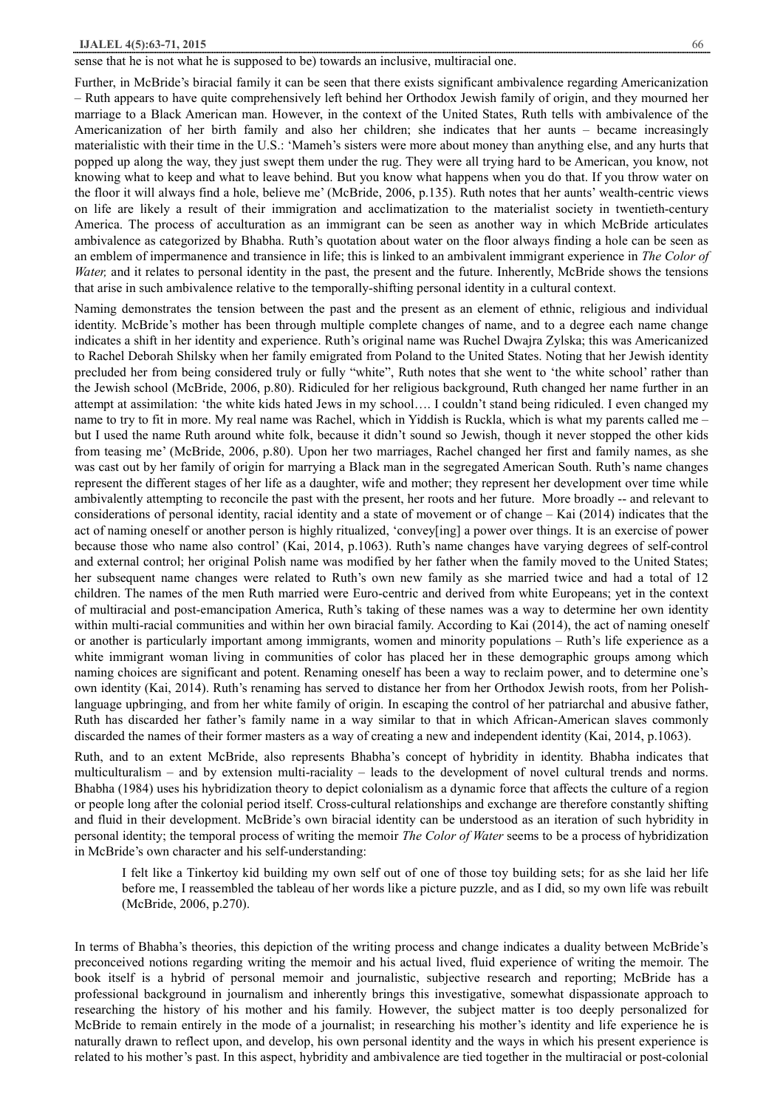sense that he is not what he is supposed to be) towards an inclusive, multiracial one.

Further, in McBride's biracial family it can be seen that there exists significant ambivalence regarding Americanization – Ruth appears to have quite comprehensively left behind her Orthodox Jewish family of origin, and they mourned her marriage to a Black American man. However, in the context of the United States, Ruth tells with ambivalence of the Americanization of her birth family and also her children; she indicates that her aunts – became increasingly materialistic with their time in the U.S.: 'Mameh's sisters were more about money than anything else, and any hurts that popped up along the way, they just swept them under the rug. They were all trying hard to be American, you know, not knowing what to keep and what to leave behind. But you know what happens when you do that. If you throw water on the floor it will always find a hole, believe me' (McBride, 2006, p.135). Ruth notes that her aunts' wealth-centric views on life are likely a result of their immigration and acclimatization to the materialist society in twentieth-century America. The process of acculturation as an immigrant can be seen as another way in which McBride articulates ambivalence as categorized by Bhabha. Ruth's quotation about water on the floor always finding a hole can be seen as an emblem of impermanence and transience in life; this is linked to an ambivalent immigrant experience in *The Color of Water*, and it relates to personal identity in the past, the present and the future. Inherently, McBride shows the tensions that arise in such ambivalence relative to the temporally-shifting personal identity in a cultural context.

Naming demonstrates the tension between the past and the present as an element of ethnic, religious and individual identity. McBride's mother has been through multiple complete changes of name, and to a degree each name change indicates a shift in her identity and experience. Ruth's original name was Ruchel Dwajra Zylska; this was Americanized to Rachel Deborah Shilsky when her family emigrated from Poland to the United States. Noting that her Jewish identity precluded her from being considered truly or fully "white", Ruth notes that she went to 'the white school' rather than the Jewish school (McBride, 2006, p.80). Ridiculed for her religious background, Ruth changed her name further in an attempt at assimilation: 'the white kids hated Jews in my school…. I couldn't stand being ridiculed. I even changed my name to try to fit in more. My real name was Rachel, which in Yiddish is Ruckla, which is what my parents called me – but I used the name Ruth around white folk, because it didn't sound so Jewish, though it never stopped the other kids from teasing me' (McBride, 2006, p.80). Upon her two marriages, Rachel changed her first and family names, as she was cast out by her family of origin for marrying a Black man in the segregated American South. Ruth's name changes represent the different stages of her life as a daughter, wife and mother; they represent her development over time while ambivalently attempting to reconcile the past with the present, her roots and her future. More broadly -- and relevant to considerations of personal identity, racial identity and a state of movement or of change – Kai (2014) indicates that the act of naming oneself or another person is highly ritualized, 'convey[ing] a power over things. It is an exercise of power because those who name also control' (Kai, 2014, p.1063). Ruth's name changes have varying degrees of self-control and external control; her original Polish name was modified by her father when the family moved to the United States; her subsequent name changes were related to Ruth's own new family as she married twice and had a total of 12 children. The names of the men Ruth married were Euro-centric and derived from white Europeans; yet in the context of multiracial and post-emancipation America, Ruth's taking of these names was a way to determine her own identity within multi-racial communities and within her own biracial family. According to Kai (2014), the act of naming oneself or another is particularly important among immigrants, women and minority populations – Ruth's life experience as a white immigrant woman living in communities of color has placed her in these demographic groups among which naming choices are significant and potent. Renaming oneself has been a way to reclaim power, and to determine one's own identity (Kai, 2014). Ruth's renaming has served to distance her from her Orthodox Jewish roots, from her Polishlanguage upbringing, and from her white family of origin. In escaping the control of her patriarchal and abusive father, Ruth has discarded her father's family name in a way similar to that in which African-American slaves commonly discarded the names of their former masters as a way of creating a new and independent identity (Kai, 2014, p.1063).

Ruth, and to an extent McBride, also represents Bhabha's concept of hybridity in identity. Bhabha indicates that multiculturalism – and by extension multi-raciality – leads to the development of novel cultural trends and norms. Bhabha (1984) uses his hybridization theory to depict colonialism as a dynamic force that affects the culture of a region or people long after the colonial period itself. Cross-cultural relationships and exchange are therefore constantly shifting and fluid in their development. McBride's own biracial identity can be understood as an iteration of such hybridity in personal identity; the temporal process of writing the memoir *The Color of Water* seems to be a process of hybridization in McBride's own character and his self-understanding:

I felt like a Tinkertoy kid building my own self out of one of those toy building sets; for as she laid her life before me, I reassembled the tableau of her words like a picture puzzle, and as I did, so my own life was rebuilt (McBride, 2006, p.270).

In terms of Bhabha's theories, this depiction of the writing process and change indicates a duality between McBride's preconceived notions regarding writing the memoir and his actual lived, fluid experience of writing the memoir. The book itself is a hybrid of personal memoir and journalistic, subjective research and reporting; McBride has a professional background in journalism and inherently brings this investigative, somewhat dispassionate approach to researching the history of his mother and his family. However, the subject matter is too deeply personalized for McBride to remain entirely in the mode of a journalist; in researching his mother's identity and life experience he is naturally drawn to reflect upon, and develop, his own personal identity and the ways in which his present experience is related to his mother's past. In this aspect, hybridity and ambivalence are tied together in the multiracial or post-colonial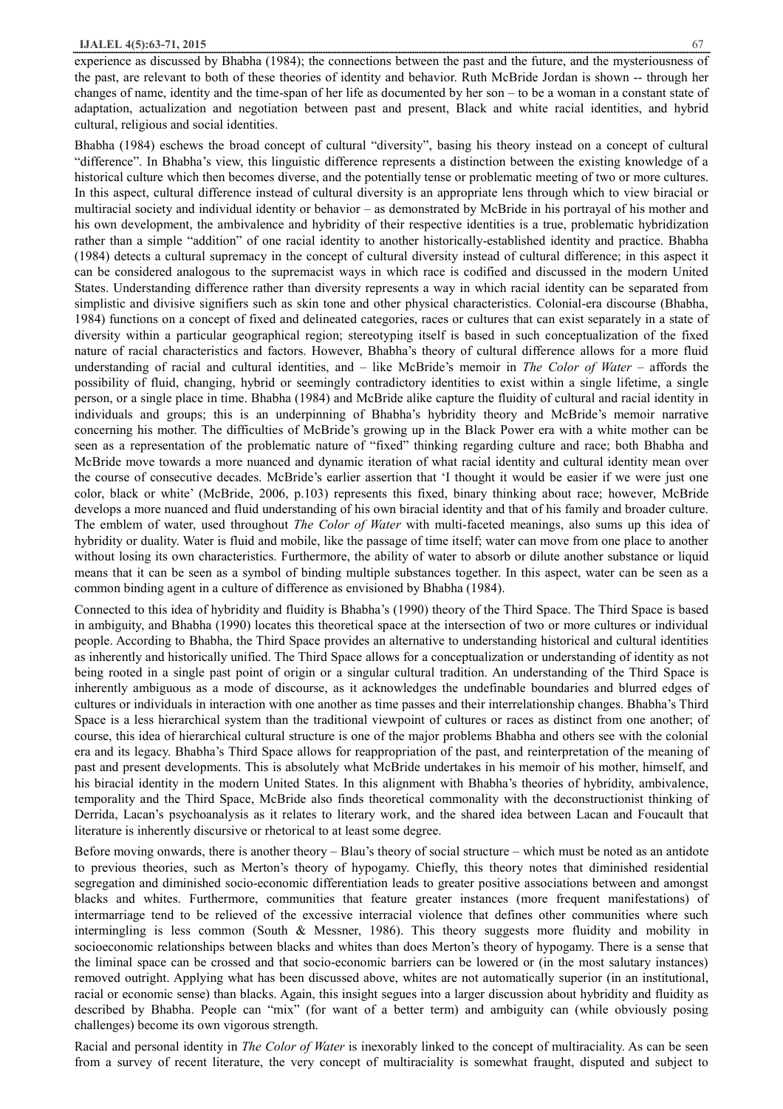experience as discussed by Bhabha (1984); the connections between the past and the future, and the mysteriousness of the past, are relevant to both of these theories of identity and behavior. Ruth McBride Jordan is shown -- through her changes of name, identity and the time-span of her life as documented by her son – to be a woman in a constant state of adaptation, actualization and negotiation between past and present, Black and white racial identities, and hybrid cultural, religious and social identities.

Bhabha (1984) eschews the broad concept of cultural "diversity", basing his theory instead on a concept of cultural "difference". In Bhabha's view, this linguistic difference represents a distinction between the existing knowledge of a historical culture which then becomes diverse, and the potentially tense or problematic meeting of two or more cultures. In this aspect, cultural difference instead of cultural diversity is an appropriate lens through which to view biracial or multiracial society and individual identity or behavior – as demonstrated by McBride in his portrayal of his mother and his own development, the ambivalence and hybridity of their respective identities is a true, problematic hybridization rather than a simple "addition" of one racial identity to another historically-established identity and practice. Bhabha (1984) detects a cultural supremacy in the concept of cultural diversity instead of cultural difference; in this aspect it can be considered analogous to the supremacist ways in which race is codified and discussed in the modern United States. Understanding difference rather than diversity represents a way in which racial identity can be separated from simplistic and divisive signifiers such as skin tone and other physical characteristics. Colonial-era discourse (Bhabha, 1984) functions on a concept of fixed and delineated categories, races or cultures that can exist separately in a state of diversity within a particular geographical region; stereotyping itself is based in such conceptualization of the fixed nature of racial characteristics and factors. However, Bhabha's theory of cultural difference allows for a more fluid understanding of racial and cultural identities, and – like McBride's memoir in *The Color of Water –* affords the possibility of fluid, changing, hybrid or seemingly contradictory identities to exist within a single lifetime, a single person, or a single place in time. Bhabha (1984) and McBride alike capture the fluidity of cultural and racial identity in individuals and groups; this is an underpinning of Bhabha's hybridity theory and McBride's memoir narrative concerning his mother. The difficulties of McBride's growing up in the Black Power era with a white mother can be seen as a representation of the problematic nature of "fixed" thinking regarding culture and race; both Bhabha and McBride move towards a more nuanced and dynamic iteration of what racial identity and cultural identity mean over the course of consecutive decades. McBride's earlier assertion that 'I thought it would be easier if we were just one color, black or white' (McBride, 2006, p.103) represents this fixed, binary thinking about race; however, McBride develops a more nuanced and fluid understanding of his own biracial identity and that of his family and broader culture. The emblem of water, used throughout *The Color of Water* with multi-faceted meanings, also sums up this idea of hybridity or duality. Water is fluid and mobile, like the passage of time itself; water can move from one place to another without losing its own characteristics. Furthermore, the ability of water to absorb or dilute another substance or liquid means that it can be seen as a symbol of binding multiple substances together. In this aspect, water can be seen as a common binding agent in a culture of difference as envisioned by Bhabha (1984).

Connected to this idea of hybridity and fluidity is Bhabha's (1990) theory of the Third Space. The Third Space is based in ambiguity, and Bhabha (1990) locates this theoretical space at the intersection of two or more cultures or individual people. According to Bhabha, the Third Space provides an alternative to understanding historical and cultural identities as inherently and historically unified. The Third Space allows for a conceptualization or understanding of identity as not being rooted in a single past point of origin or a singular cultural tradition. An understanding of the Third Space is inherently ambiguous as a mode of discourse, as it acknowledges the undefinable boundaries and blurred edges of cultures or individuals in interaction with one another as time passes and their interrelationship changes. Bhabha's Third Space is a less hierarchical system than the traditional viewpoint of cultures or races as distinct from one another; of course, this idea of hierarchical cultural structure is one of the major problems Bhabha and others see with the colonial era and its legacy. Bhabha's Third Space allows for reappropriation of the past, and reinterpretation of the meaning of past and present developments. This is absolutely what McBride undertakes in his memoir of his mother, himself, and his biracial identity in the modern United States. In this alignment with Bhabha's theories of hybridity, ambivalence, temporality and the Third Space, McBride also finds theoretical commonality with the deconstructionist thinking of Derrida, Lacan's psychoanalysis as it relates to literary work, and the shared idea between Lacan and Foucault that literature is inherently discursive or rhetorical to at least some degree.

Before moving onwards, there is another theory – Blau's theory of social structure – which must be noted as an antidote to previous theories, such as Merton's theory of hypogamy. Chiefly, this theory notes that diminished residential segregation and diminished socio-economic differentiation leads to greater positive associations between and amongst blacks and whites. Furthermore, communities that feature greater instances (more frequent manifestations) of intermarriage tend to be relieved of the excessive interracial violence that defines other communities where such intermingling is less common (South & Messner, 1986). This theory suggests more fluidity and mobility in socioeconomic relationships between blacks and whites than does Merton's theory of hypogamy. There is a sense that the liminal space can be crossed and that socio-economic barriers can be lowered or (in the most salutary instances) removed outright. Applying what has been discussed above, whites are not automatically superior (in an institutional, racial or economic sense) than blacks. Again, this insight segues into a larger discussion about hybridity and fluidity as described by Bhabha. People can "mix" (for want of a better term) and ambiguity can (while obviously posing challenges) become its own vigorous strength.

Racial and personal identity in *The Color of Water* is inexorably linked to the concept of multiraciality. As can be seen from a survey of recent literature, the very concept of multiraciality is somewhat fraught, disputed and subject to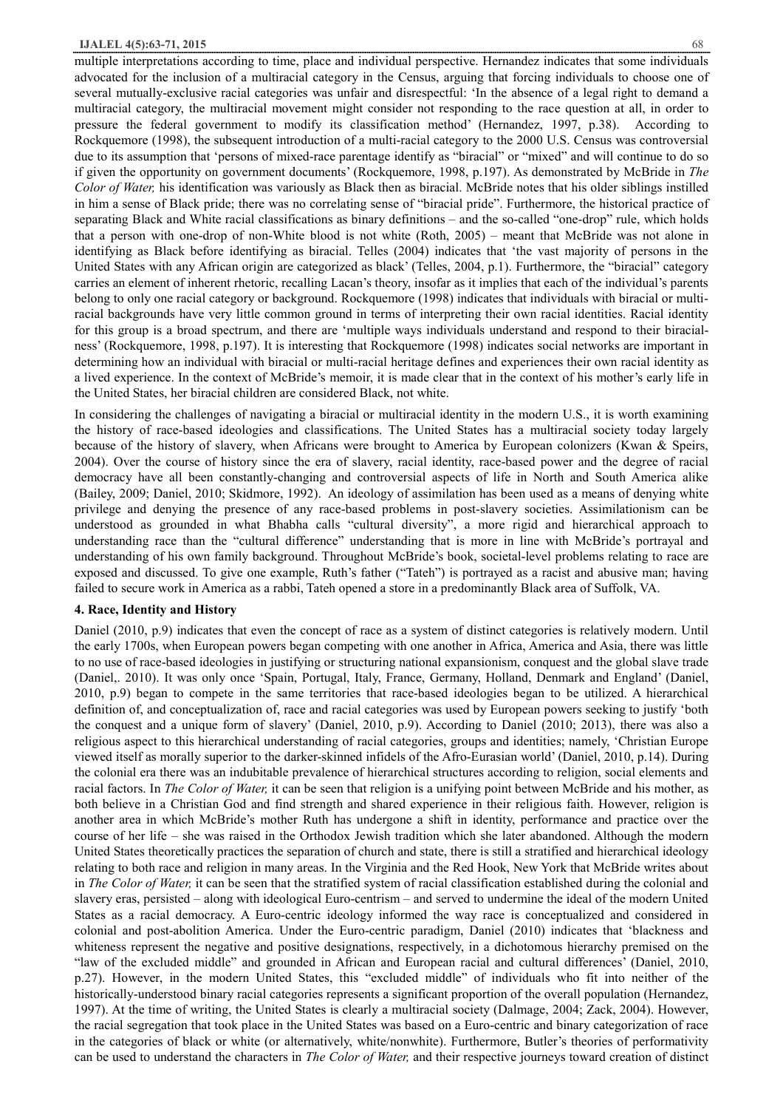multiple interpretations according to time, place and individual perspective. Hernandez indicates that some individuals advocated for the inclusion of a multiracial category in the Census, arguing that forcing individuals to choose one of several mutually-exclusive racial categories was unfair and disrespectful: 'In the absence of a legal right to demand a multiracial category, the multiracial movement might consider not responding to the race question at all, in order to pressure the federal government to modify its classification method' (Hernandez, 1997, p.38). According to Rockquemore (1998), the subsequent introduction of a multi-racial category to the 2000 U.S. Census was controversial due to its assumption that 'persons of mixed-race parentage identify as "biracial" or "mixed" and will continue to do so if given the opportunity on government documents' (Rockquemore, 1998, p.197). As demonstrated by McBride in *The Color of Water,* his identification was variously as Black then as biracial. McBride notes that his older siblings instilled in him a sense of Black pride; there was no correlating sense of "biracial pride". Furthermore, the historical practice of separating Black and White racial classifications as binary definitions – and the so-called "one-drop" rule, which holds that a person with one-drop of non-White blood is not white (Roth, 2005) – meant that McBride was not alone in identifying as Black before identifying as biracial. Telles (2004) indicates that 'the vast majority of persons in the United States with any African origin are categorized as black' (Telles, 2004, p.1). Furthermore, the "biracial" category carries an element of inherent rhetoric, recalling Lacan's theory, insofar as it implies that each of the individual's parents belong to only one racial category or background. Rockquemore (1998) indicates that individuals with biracial or multiracial backgrounds have very little common ground in terms of interpreting their own racial identities. Racial identity for this group is a broad spectrum, and there are 'multiple ways individuals understand and respond to their biracialness' (Rockquemore, 1998, p.197). It is interesting that Rockquemore (1998) indicates social networks are important in determining how an individual with biracial or multi-racial heritage defines and experiences their own racial identity as a lived experience. In the context of McBride's memoir, it is made clear that in the context of his mother's early life in the United States, her biracial children are considered Black, not white.

In considering the challenges of navigating a biracial or multiracial identity in the modern U.S., it is worth examining the history of race-based ideologies and classifications. The United States has a multiracial society today largely because of the history of slavery, when Africans were brought to America by European colonizers (Kwan & Speirs, 2004). Over the course of history since the era of slavery, racial identity, race-based power and the degree of racial democracy have all been constantly-changing and controversial aspects of life in North and South America alike (Bailey, 2009; Daniel, 2010; Skidmore, 1992). An ideology of assimilation has been used as a means of denying white privilege and denying the presence of any race-based problems in post-slavery societies. Assimilationism can be understood as grounded in what Bhabha calls "cultural diversity", a more rigid and hierarchical approach to understanding race than the "cultural difference" understanding that is more in line with McBride's portrayal and understanding of his own family background. Throughout McBride's book, societal-level problems relating to race are exposed and discussed. To give one example, Ruth's father ("Tateh") is portrayed as a racist and abusive man; having failed to secure work in America as a rabbi, Tateh opened a store in a predominantly Black area of Suffolk, VA.

#### **4. Race, Identity and History**

Daniel (2010, p.9) indicates that even the concept of race as a system of distinct categories is relatively modern. Until the early 1700s, when European powers began competing with one another in Africa, America and Asia, there was little to no use of race-based ideologies in justifying or structuring national expansionism, conquest and the global slave trade (Daniel,. 2010). It was only once 'Spain, Portugal, Italy, France, Germany, Holland, Denmark and England' (Daniel, 2010, p.9) began to compete in the same territories that race-based ideologies began to be utilized. A hierarchical definition of, and conceptualization of, race and racial categories was used by European powers seeking to justify 'both the conquest and a unique form of slavery' (Daniel, 2010, p.9). According to Daniel (2010; 2013), there was also a religious aspect to this hierarchical understanding of racial categories, groups and identities; namely, 'Christian Europe viewed itself as morally superior to the darker-skinned infidels of the Afro-Eurasian world' (Daniel, 2010, p.14). During the colonial era there was an indubitable prevalence of hierarchical structures according to religion, social elements and racial factors. In *The Color of Water,* it can be seen that religion is a unifying point between McBride and his mother, as both believe in a Christian God and find strength and shared experience in their religious faith. However, religion is another area in which McBride's mother Ruth has undergone a shift in identity, performance and practice over the course of her life – she was raised in the Orthodox Jewish tradition which she later abandoned. Although the modern United States theoretically practices the separation of church and state, there is still a stratified and hierarchical ideology relating to both race and religion in many areas. In the Virginia and the Red Hook, New York that McBride writes about in *The Color of Water,* it can be seen that the stratified system of racial classification established during the colonial and slavery eras, persisted – along with ideological Euro-centrism – and served to undermine the ideal of the modern United States as a racial democracy. A Euro-centric ideology informed the way race is conceptualized and considered in colonial and post-abolition America. Under the Euro-centric paradigm, Daniel (2010) indicates that 'blackness and whiteness represent the negative and positive designations, respectively, in a dichotomous hierarchy premised on the "law of the excluded middle" and grounded in African and European racial and cultural differences' (Daniel, 2010, p.27). However, in the modern United States, this "excluded middle" of individuals who fit into neither of the historically-understood binary racial categories represents a significant proportion of the overall population (Hernandez, 1997). At the time of writing, the United States is clearly a multiracial society (Dalmage, 2004; Zack, 2004). However, the racial segregation that took place in the United States was based on a Euro-centric and binary categorization of race in the categories of black or white (or alternatively, white/nonwhite). Furthermore, Butler's theories of performativity can be used to understand the characters in *The Color of Water,* and their respective journeys toward creation of distinct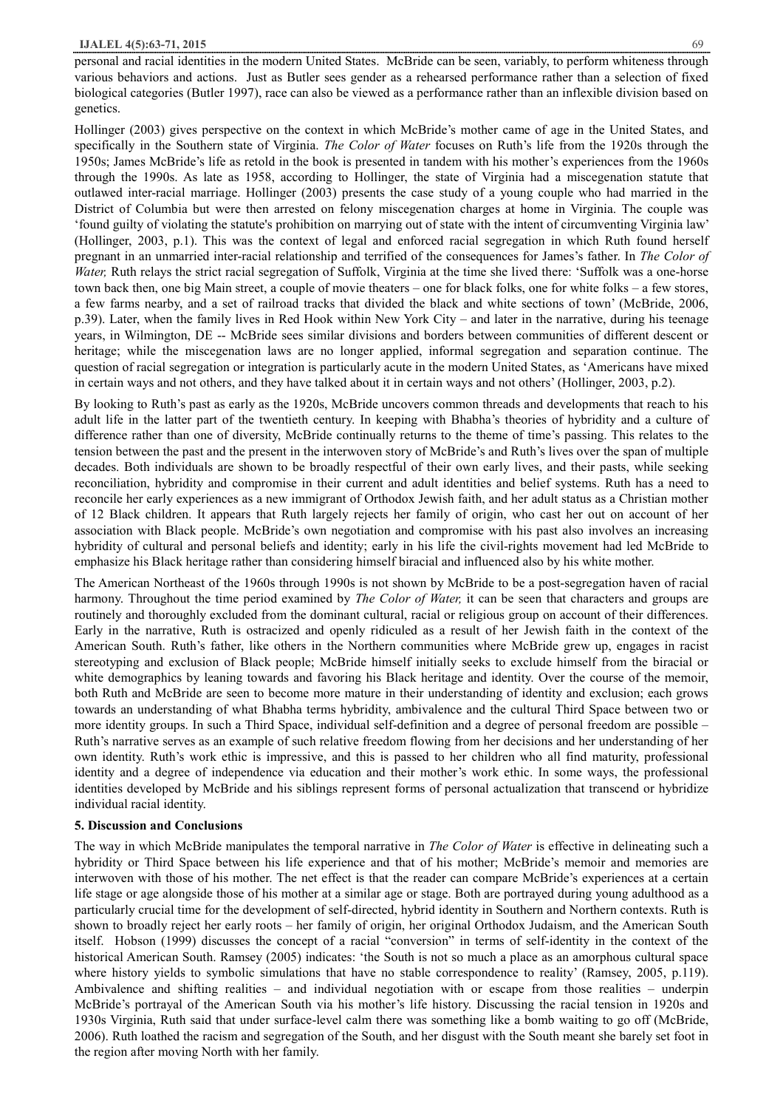personal and racial identities in the modern United States. McBride can be seen, variably, to perform whiteness through various behaviors and actions. Just as Butler sees gender as a rehearsed performance rather than a selection of fixed biological categories (Butler 1997), race can also be viewed as a performance rather than an inflexible division based on genetics.

Hollinger (2003) gives perspective on the context in which McBride's mother came of age in the United States, and specifically in the Southern state of Virginia. *The Color of Water* focuses on Ruth's life from the 1920s through the 1950s; James McBride's life as retold in the book is presented in tandem with his mother's experiences from the 1960s through the 1990s. As late as 1958, according to Hollinger, the state of Virginia had a miscegenation statute that outlawed inter-racial marriage. Hollinger (2003) presents the case study of a young couple who had married in the District of Columbia but were then arrested on felony miscegenation charges at home in Virginia. The couple was 'found guilty of violating the statute's prohibition on marrying out of state with the intent of circumventing Virginia law' (Hollinger, 2003, p.1). This was the context of legal and enforced racial segregation in which Ruth found herself pregnant in an unmarried inter-racial relationship and terrified of the consequences for James's father. In *The Color of Water,* Ruth relays the strict racial segregation of Suffolk, Virginia at the time she lived there: 'Suffolk was a one-horse town back then, one big Main street, a couple of movie theaters – one for black folks, one for white folks – a few stores, a few farms nearby, and a set of railroad tracks that divided the black and white sections of town' (McBride, 2006, p.39). Later, when the family lives in Red Hook within New York City – and later in the narrative, during his teenage years, in Wilmington, DE -- McBride sees similar divisions and borders between communities of different descent or heritage; while the miscegenation laws are no longer applied, informal segregation and separation continue. The question of racial segregation or integration is particularly acute in the modern United States, as 'Americans have mixed in certain ways and not others, and they have talked about it in certain ways and not others' (Hollinger, 2003, p.2).

By looking to Ruth's past as early as the 1920s, McBride uncovers common threads and developments that reach to his adult life in the latter part of the twentieth century. In keeping with Bhabha's theories of hybridity and a culture of difference rather than one of diversity, McBride continually returns to the theme of time's passing. This relates to the tension between the past and the present in the interwoven story of McBride's and Ruth's lives over the span of multiple decades. Both individuals are shown to be broadly respectful of their own early lives, and their pasts, while seeking reconciliation, hybridity and compromise in their current and adult identities and belief systems. Ruth has a need to reconcile her early experiences as a new immigrant of Orthodox Jewish faith, and her adult status as a Christian mother of 12 Black children. It appears that Ruth largely rejects her family of origin, who cast her out on account of her association with Black people. McBride's own negotiation and compromise with his past also involves an increasing hybridity of cultural and personal beliefs and identity; early in his life the civil-rights movement had led McBride to emphasize his Black heritage rather than considering himself biracial and influenced also by his white mother.

The American Northeast of the 1960s through 1990s is not shown by McBride to be a post-segregation haven of racial harmony. Throughout the time period examined by *The Color of Water,* it can be seen that characters and groups are routinely and thoroughly excluded from the dominant cultural, racial or religious group on account of their differences. Early in the narrative, Ruth is ostracized and openly ridiculed as a result of her Jewish faith in the context of the American South. Ruth's father, like others in the Northern communities where McBride grew up, engages in racist stereotyping and exclusion of Black people; McBride himself initially seeks to exclude himself from the biracial or white demographics by leaning towards and favoring his Black heritage and identity. Over the course of the memoir, both Ruth and McBride are seen to become more mature in their understanding of identity and exclusion; each grows towards an understanding of what Bhabha terms hybridity, ambivalence and the cultural Third Space between two or more identity groups. In such a Third Space, individual self-definition and a degree of personal freedom are possible – Ruth's narrative serves as an example of such relative freedom flowing from her decisions and her understanding of her own identity. Ruth's work ethic is impressive, and this is passed to her children who all find maturity, professional identity and a degree of independence via education and their mother's work ethic. In some ways, the professional identities developed by McBride and his siblings represent forms of personal actualization that transcend or hybridize individual racial identity.

#### **5. Discussion and Conclusions**

The way in which McBride manipulates the temporal narrative in *The Color of Water* is effective in delineating such a hybridity or Third Space between his life experience and that of his mother; McBride's memoir and memories are interwoven with those of his mother. The net effect is that the reader can compare McBride's experiences at a certain life stage or age alongside those of his mother at a similar age or stage. Both are portrayed during young adulthood as a particularly crucial time for the development of self-directed, hybrid identity in Southern and Northern contexts. Ruth is shown to broadly reject her early roots – her family of origin, her original Orthodox Judaism, and the American South itself. Hobson (1999) discusses the concept of a racial "conversion" in terms of self-identity in the context of the historical American South. Ramsey (2005) indicates: 'the South is not so much a place as an amorphous cultural space where history yields to symbolic simulations that have no stable correspondence to reality' (Ramsey, 2005, p.119). Ambivalence and shifting realities – and individual negotiation with or escape from those realities – underpin McBride's portrayal of the American South via his mother's life history. Discussing the racial tension in 1920s and 1930s Virginia, Ruth said that under surface-level calm there was something like a bomb waiting to go off (McBride, 2006). Ruth loathed the racism and segregation of the South, and her disgust with the South meant she barely set foot in the region after moving North with her family.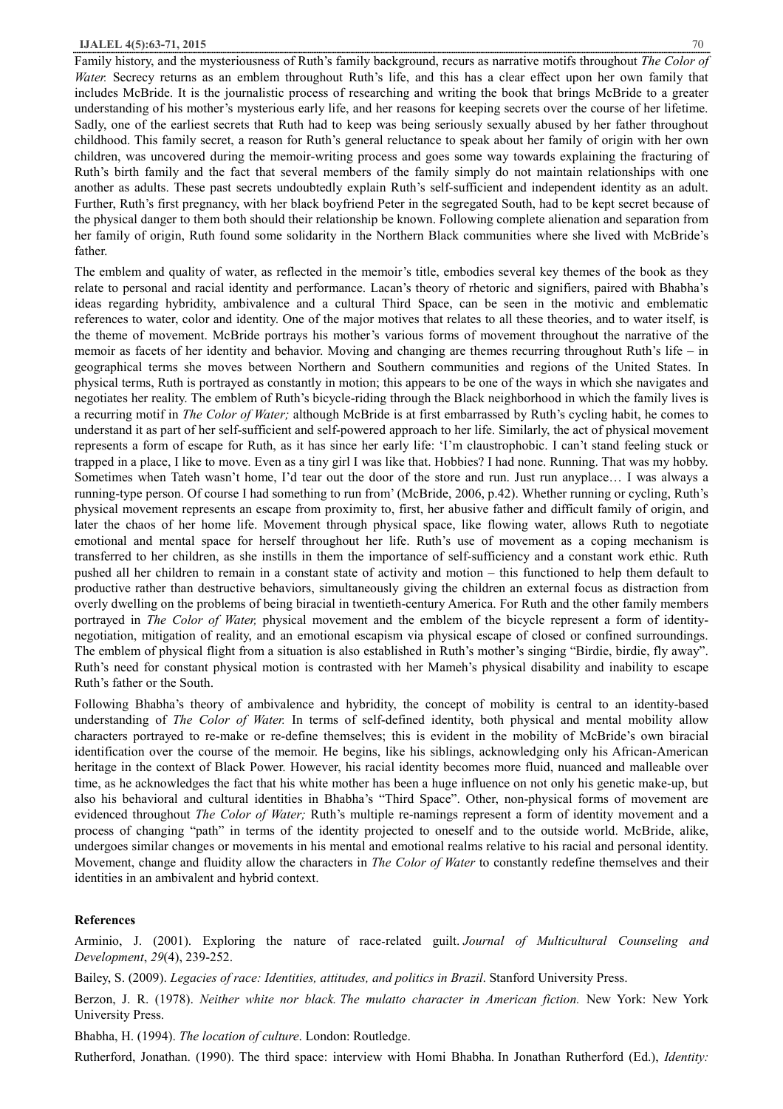Family history, and the mysteriousness of Ruth's family background, recurs as narrative motifs throughout *The Color of Water.* Secrecy returns as an emblem throughout Ruth's life, and this has a clear effect upon her own family that includes McBride. It is the journalistic process of researching and writing the book that brings McBride to a greater understanding of his mother's mysterious early life, and her reasons for keeping secrets over the course of her lifetime. Sadly, one of the earliest secrets that Ruth had to keep was being seriously sexually abused by her father throughout childhood. This family secret, a reason for Ruth's general reluctance to speak about her family of origin with her own children, was uncovered during the memoir-writing process and goes some way towards explaining the fracturing of Ruth's birth family and the fact that several members of the family simply do not maintain relationships with one another as adults. These past secrets undoubtedly explain Ruth's self-sufficient and independent identity as an adult. Further, Ruth's first pregnancy, with her black boyfriend Peter in the segregated South, had to be kept secret because of the physical danger to them both should their relationship be known. Following complete alienation and separation from her family of origin, Ruth found some solidarity in the Northern Black communities where she lived with McBride's father.

The emblem and quality of water, as reflected in the memoir's title, embodies several key themes of the book as they relate to personal and racial identity and performance. Lacan's theory of rhetoric and signifiers, paired with Bhabha's ideas regarding hybridity, ambivalence and a cultural Third Space, can be seen in the motivic and emblematic references to water, color and identity. One of the major motives that relates to all these theories, and to water itself, is the theme of movement. McBride portrays his mother's various forms of movement throughout the narrative of the memoir as facets of her identity and behavior. Moving and changing are themes recurring throughout Ruth's life – in geographical terms she moves between Northern and Southern communities and regions of the United States. In physical terms, Ruth is portrayed as constantly in motion; this appears to be one of the ways in which she navigates and negotiates her reality. The emblem of Ruth's bicycle-riding through the Black neighborhood in which the family lives is a recurring motif in *The Color of Water;* although McBride is at first embarrassed by Ruth's cycling habit, he comes to understand it as part of her self-sufficient and self-powered approach to her life. Similarly, the act of physical movement represents a form of escape for Ruth, as it has since her early life: 'I'm claustrophobic. I can't stand feeling stuck or trapped in a place, I like to move. Even as a tiny girl I was like that. Hobbies? I had none. Running. That was my hobby. Sometimes when Tateh wasn't home, I'd tear out the door of the store and run. Just run anyplace… I was always a running-type person. Of course I had something to run from' (McBride, 2006, p.42). Whether running or cycling, Ruth's physical movement represents an escape from proximity to, first, her abusive father and difficult family of origin, and later the chaos of her home life. Movement through physical space, like flowing water, allows Ruth to negotiate emotional and mental space for herself throughout her life. Ruth's use of movement as a coping mechanism is transferred to her children, as she instills in them the importance of self-sufficiency and a constant work ethic. Ruth pushed all her children to remain in a constant state of activity and motion – this functioned to help them default to productive rather than destructive behaviors, simultaneously giving the children an external focus as distraction from overly dwelling on the problems of being biracial in twentieth-century America. For Ruth and the other family members portrayed in *The Color of Water,* physical movement and the emblem of the bicycle represent a form of identitynegotiation, mitigation of reality, and an emotional escapism via physical escape of closed or confined surroundings. The emblem of physical flight from a situation is also established in Ruth's mother's singing "Birdie, birdie, fly away". Ruth's need for constant physical motion is contrasted with her Mameh's physical disability and inability to escape Ruth's father or the South.

Following Bhabha's theory of ambivalence and hybridity, the concept of mobility is central to an identity-based understanding of *The Color of Water.* In terms of self-defined identity, both physical and mental mobility allow characters portrayed to re-make or re-define themselves; this is evident in the mobility of McBride's own biracial identification over the course of the memoir. He begins, like his siblings, acknowledging only his African-American heritage in the context of Black Power. However, his racial identity becomes more fluid, nuanced and malleable over time, as he acknowledges the fact that his white mother has been a huge influence on not only his genetic make-up, but also his behavioral and cultural identities in Bhabha's "Third Space". Other, non-physical forms of movement are evidenced throughout *The Color of Water;* Ruth's multiple re-namings represent a form of identity movement and a process of changing "path" in terms of the identity projected to oneself and to the outside world. McBride, alike, undergoes similar changes or movements in his mental and emotional realms relative to his racial and personal identity. Movement, change and fluidity allow the characters in *The Color of Water* to constantly redefine themselves and their identities in an ambivalent and hybrid context.

## **References**

Arminio, J. (2001). Exploring the nature of race‐related guilt. *Journal of Multicultural Counseling and Development*, *29*(4), 239-252.

Bailey, S. (2009). *Legacies of race: Identities, attitudes, and politics in Brazil*. Stanford University Press.

Berzon, J. R. (1978). *Neither white nor black. The mulatto character in American fiction.* New York: New York University Press.

Bhabha, H. (1994). *The location of culture*. London: Routledge.

Rutherford, Jonathan. (1990). The third space: interview with Homi Bhabha. In Jonathan Rutherford (Ed.), *Identity:*